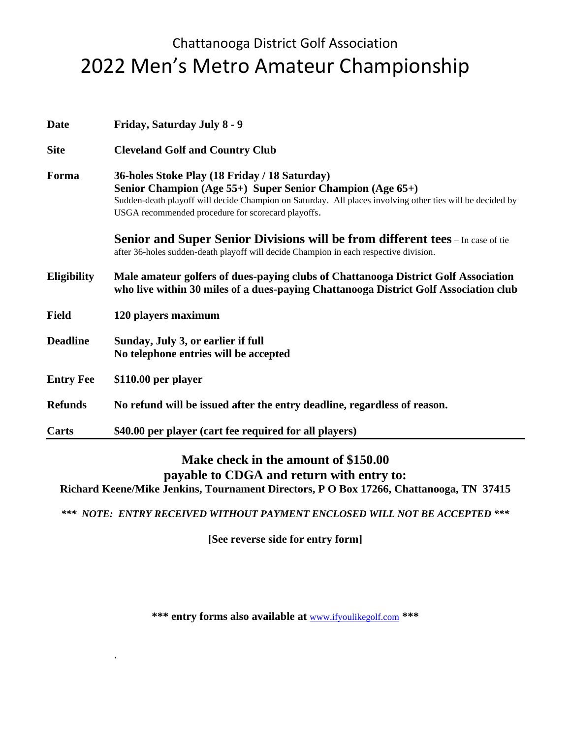## Chattanooga District Golf Association 2022 Men's Metro Amateur Championship

| <b>Date</b>        | Friday, Saturday July 8 - 9                                                                                                                                                                                                                                                   |  |
|--------------------|-------------------------------------------------------------------------------------------------------------------------------------------------------------------------------------------------------------------------------------------------------------------------------|--|
| <b>Site</b>        | <b>Cleveland Golf and Country Club</b>                                                                                                                                                                                                                                        |  |
| Forma              | 36-holes Stoke Play (18 Friday / 18 Saturday)<br>Senior Champion (Age 55+) Super Senior Champion (Age 65+)<br>Sudden-death playoff will decide Champion on Saturday. All places involving other ties will be decided by<br>USGA recommended procedure for scorecard playoffs. |  |
|                    | Senior and Super Senior Divisions will be from different tees - In case of tie<br>after 36-holes sudden-death playoff will decide Champion in each respective division.                                                                                                       |  |
| <b>Eligibility</b> | Male amateur golfers of dues-paying clubs of Chattanooga District Golf Association<br>who live within 30 miles of a dues-paying Chattanooga District Golf Association club                                                                                                    |  |
| <b>Field</b>       | 120 players maximum                                                                                                                                                                                                                                                           |  |
| <b>Deadline</b>    | Sunday, July 3, or earlier if full<br>No telephone entries will be accepted                                                                                                                                                                                                   |  |
| <b>Entry Fee</b>   | \$110.00 per player                                                                                                                                                                                                                                                           |  |
| <b>Refunds</b>     | No refund will be issued after the entry deadline, regardless of reason.                                                                                                                                                                                                      |  |
| Carts              | \$40.00 per player (cart fee required for all players)                                                                                                                                                                                                                        |  |

## **Make check in the amount of \$150.00 payable to CDGA and return with entry to: Richard Keene/Mike Jenkins, Tournament Directors, P O Box 17266, Chattanooga, TN 37415**

*\*\*\* NOTE: ENTRY RECEIVED WITHOUT PAYMENT ENCLOSED WILL NOT BE ACCEPTED \*\*\**

**[See reverse side for entry form]**

**\*\*\* entry forms also available at** [www.ifyoulikegolf.com](http://www.chattanoogatpc.com/) **\*\*\***

.